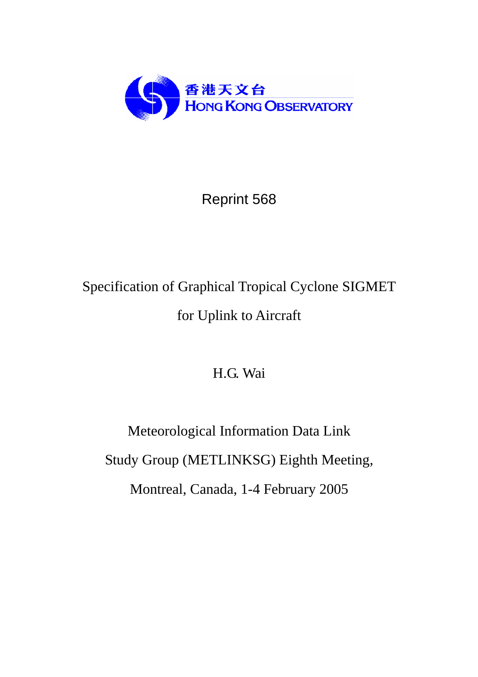

# Reprint 568

# Specification of Graphical Tropical Cyclone SIGMET for Uplink to Aircraft

H.G. Wai

Meteorological Information Data Link Study Group (METLINKSG) Eighth Meeting, Montreal, Canada, 1-4 February 2005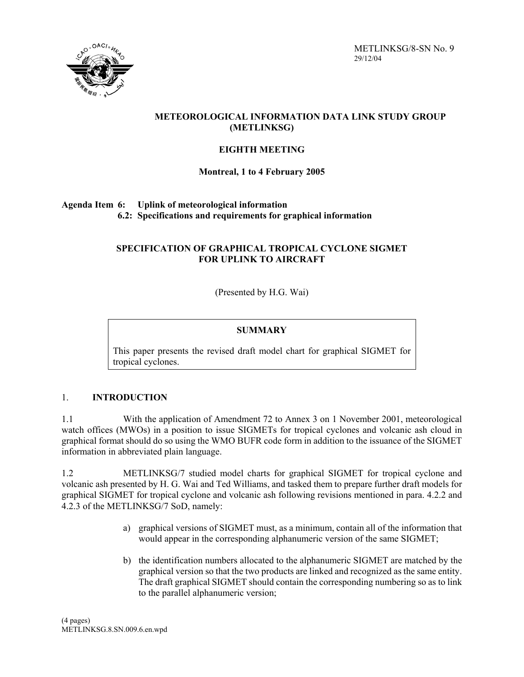



# **METEOROLOGICAL INFORMATION DATA LINK STUDY GROUP (METLINKSG)**

## **EIGHTH MEETING**

# **Montreal, 1 to 4 February 2005**

# **Agenda Item 6: Uplink of meteorological information 6.2: Specifications and requirements for graphical information**

# **SPECIFICATION OF GRAPHICAL TROPICAL CYCLONE SIGMET FOR UPLINK TO AIRCRAFT**

(Presented by H.G. Wai)

#### **SUMMARY**

This paper presents the revised draft model chart for graphical SIGMET for tropical cyclones.

#### 1. **INTRODUCTION**

1.1 With the application of Amendment 72 to Annex 3 on 1 November 2001, meteorological watch offices (MWOs) in a position to issue SIGMETs for tropical cyclones and volcanic ash cloud in graphical format should do so using the WMO BUFR code form in addition to the issuance of the SIGMET information in abbreviated plain language.

1.2 METLINKSG/7 studied model charts for graphical SIGMET for tropical cyclone and volcanic ash presented by H. G. Wai and Ted Williams, and tasked them to prepare further draft models for graphical SIGMET for tropical cyclone and volcanic ash following revisions mentioned in para. 4.2.2 and 4.2.3 of the METLINKSG/7 SoD, namely:

- a) graphical versions of SIGMET must, as a minimum, contain all of the information that would appear in the corresponding alphanumeric version of the same SIGMET;
- b) the identification numbers allocated to the alphanumeric SIGMET are matched by the graphical version so that the two products are linked and recognized as the same entity. The draft graphical SIGMET should contain the corresponding numbering so as to link to the parallel alphanumeric version;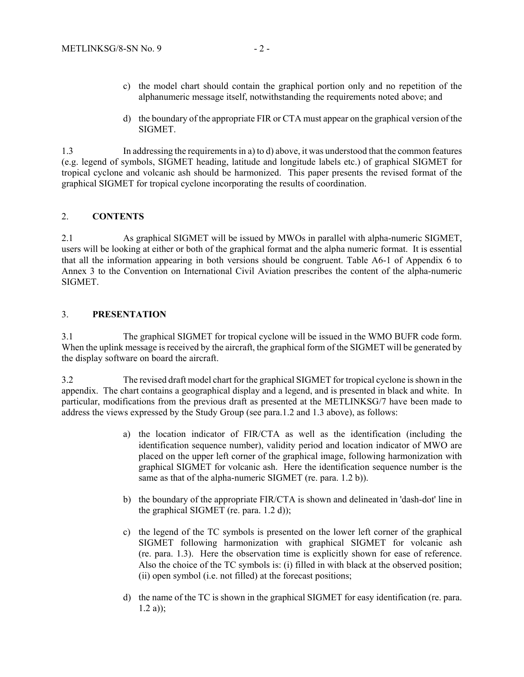- c) the model chart should contain the graphical portion only and no repetition of the alphanumeric message itself, notwithstanding the requirements noted above; and
- d) the boundary of the appropriate FIR or CTA must appear on the graphical version of the SIGMET.

1.3 In addressing the requirements in a) to d) above, it was understood that the common features (e.g. legend of symbols, SIGMET heading, latitude and longitude labels etc.) of graphical SIGMET for tropical cyclone and volcanic ash should be harmonized. This paper presents the revised format of the graphical SIGMET for tropical cyclone incorporating the results of coordination.

#### 2. **CONTENTS**

2.1 As graphical SIGMET will be issued by MWOs in parallel with alpha-numeric SIGMET, users will be looking at either or both of the graphical format and the alpha numeric format. It is essential that all the information appearing in both versions should be congruent. Table A6-1 of Appendix 6 to Annex 3 to the Convention on International Civil Aviation prescribes the content of the alpha-numeric SIGMET.

#### 3. **PRESENTATION**

3.1 The graphical SIGMET for tropical cyclone will be issued in the WMO BUFR code form. When the uplink message is received by the aircraft, the graphical form of the SIGMET will be generated by the display software on board the aircraft.

3.2 The revised draft model chart for the graphical SIGMET for tropical cyclone is shown in the appendix. The chart contains a geographical display and a legend, and is presented in black and white. In particular, modifications from the previous draft as presented at the METLINKSG/7 have been made to address the views expressed by the Study Group (see para.1.2 and 1.3 above), as follows:

- a) the location indicator of FIR/CTA as well as the identification (including the identification sequence number), validity period and location indicator of MWO are placed on the upper left corner of the graphical image, following harmonization with graphical SIGMET for volcanic ash. Here the identification sequence number is the same as that of the alpha-numeric SIGMET (re. para. 1.2 b)).
- b) the boundary of the appropriate FIR/CTA is shown and delineated in 'dash-dot' line in the graphical SIGMET (re. para. 1.2 d));
- c) the legend of the TC symbols is presented on the lower left corner of the graphical SIGMET following harmonization with graphical SIGMET for volcanic ash (re. para. 1.3). Here the observation time is explicitly shown for ease of reference. Also the choice of the TC symbols is: (i) filled in with black at the observed position; (ii) open symbol (i.e. not filled) at the forecast positions;
- d) the name of the TC is shown in the graphical SIGMET for easy identification (re. para.  $1.2 a$ );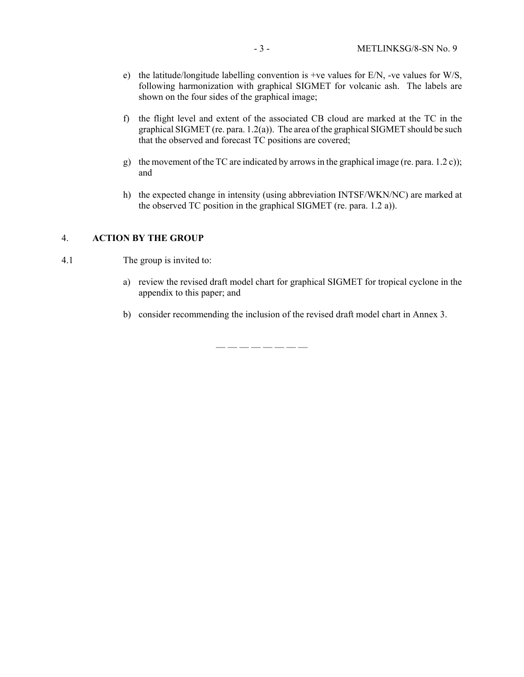- e) the latitude/longitude labelling convention is +ve values for E/N, -ve values for W/S, following harmonization with graphical SIGMET for volcanic ash. The labels are shown on the four sides of the graphical image;
- f) the flight level and extent of the associated CB cloud are marked at the TC in the graphical SIGMET (re. para. 1.2(a)). The area of the graphical SIGMET should be such that the observed and forecast TC positions are covered;
- g) the movement of the TC are indicated by arrows in the graphical image (re. para. 1.2 c)); and
- h) the expected change in intensity (using abbreviation INTSF/WKN/NC) are marked at the observed TC position in the graphical SIGMET (re. para. 1.2 a)).

#### 4. **ACTION BY THE GROUP**

- 4.1 The group is invited to:
	- a) review the revised draft model chart for graphical SIGMET for tropical cyclone in the appendix to this paper; and
	- b) consider recommending the inclusion of the revised draft model chart in Annex 3.

— — — — — — — —